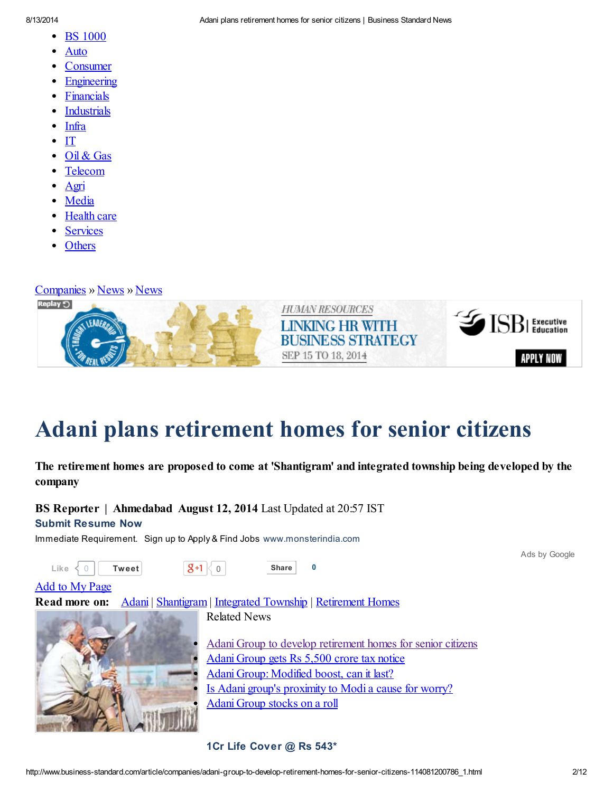- BS [1000](http://www.business-standard.com/companies-bs-1000)  $\bullet$
- **[Auto](http://www.business-standard.com/sector/display-article/Auto)**
- **[Consumer](http://www.business-standard.com/sector/display-article/Consumer)**
- [Engineering](http://www.business-standard.com/sector/display-article/Engineering)
- [Financials](http://www.business-standard.com/sector/display-article/Financials)
- **[Industrials](http://www.business-standard.com/sector/display-article/Industrials)**
- [Infra](http://www.business-standard.com/sector/display-article/Infrastructure)
- $\bullet$  [IT](http://www.business-standard.com/sector/display-article/IT)
- Oil & [Gas](http://www.business-standard.com/sector/display-article/Oil%20%26%20Gas)
- [Telecom](http://www.business-standard.com/sector/display-article/Telecom)
- [Agri](http://www.business-standard.com/sector/display-article/Agri%20and%20agri%20inputs)
- [Media](http://www.business-standard.com/sector/display-article/Media)
- [Health](http://www.business-standard.com/sector/display-article/Health%20care) care
- [Services](http://www.business-standard.com/sector/display-article/Services)
- [Others](http://www.business-standard.com/sector/display-article/Others)

[Companies](http://www.business-standard.com/companies) » [News](http://www.business-standard.com/category/companies-news-1010101.htm) » News



## Adani plans [retirement](javascript:void()) homes for senior citizens

## The retirement homes are proposed to come at 'Shantigram' and integrated township being developed by the company

BS Reporter | Ahmedabad August 12, 2014 Last Updated at 20:57 IST

## Submit [Resume](http://googleads.g.doubleclick.net/aclk?sa=l&ai=CiWaUmDDrU_iJBJXG9AXRuIDAC4mi1YwFyainr7sBwI23ARABIKm8zBFQ3Lvp9vz_____AWDlwuSDpA6gAae5mv0DyAEBqQJ6n8YqtIZRPqgDAaoE7gFP0P-5V1SR7EJy-4ce6HA-i-lkYf-ejWxIwKs4TOeB6AjKKBib4Jtgd4I1rPLJ_XnXs7E_dbOV70OaLXWqPeX3oxyAuql17kwrkieelJdxcxsD7PFz7G1lT2GGDQ-DphfIthkixUyMvIog7uncleQWVHZwo77yMa_y6JMysiGfdvpuygUm0-tqLDwyuGg6o8nqJCbBCSM3dIfpePDzSCUNKAoJfZhZu24qBdYeQgWpeMjWX2WLo-C6XUCssH1EZnlyJUZGvJ8RLfnjzx_xsaWS3Y6pNINZRhlF7xEGnbwk4-8VC4y7qoIkcsDvGAKugAfBxuUC&num=1&sig=AOD64_1BzGw5HlfVFWsqVfURPhmY6hf1yw&client=ca-pub-1723933259695999&adurl=http://my.monsterindia.com/create_account.html%3Fspl%3DG_Adgroup_resumes6%26WT.mc_n%3Dolm_sk_srch_Google_New%2520Campaign%2520-%2520Jobs%2520General) Now

Immediate Requirement. Sign up to Apply & Find Jobs [www.monsterindia.com](http://googleads.g.doubleclick.net/aclk?sa=l&ai=CiWaUmDDrU_iJBJXG9AXRuIDAC4mi1YwFyainr7sBwI23ARABIKm8zBFQ3Lvp9vz_____AWDlwuSDpA6gAae5mv0DyAEBqQJ6n8YqtIZRPqgDAaoE7gFP0P-5V1SR7EJy-4ce6HA-i-lkYf-ejWxIwKs4TOeB6AjKKBib4Jtgd4I1rPLJ_XnXs7E_dbOV70OaLXWqPeX3oxyAuql17kwrkieelJdxcxsD7PFz7G1lT2GGDQ-DphfIthkixUyMvIog7uncleQWVHZwo77yMa_y6JMysiGfdvpuygUm0-tqLDwyuGg6o8nqJCbBCSM3dIfpePDzSCUNKAoJfZhZu24qBdYeQgWpeMjWX2WLo-C6XUCssH1EZnlyJUZGvJ8RLfnjzx_xsaWS3Y6pNINZRhlF7xEGnbwk4-8VC4y7qoIkcsDvGAKugAfBxuUC&num=1&sig=AOD64_1BzGw5HlfVFWsqVfURPhmY6hf1yw&client=ca-pub-1723933259695999&adurl=http://my.monsterindia.com/create_account.html%3Fspl%3DG_Adgroup_resumes6%26WT.mc_n%3Dolm_sk_srch_Google_New%2520Campaign%2520-%2520Jobs%2520General)



1Cr Life [Cover](http://googleads.g.doubleclick.net/aclk?sa=l&ai=CyrZ3mDDrU_mRINHG9AWVrYCoBomWpowGuavJmZUBw6Gj9QUQASCpvMwRKAJQzuC1wwRg5cLkg6QOoAH_7KTkA8gBAakCawThuESJUT6oAwGqBO8BT9CNhMrMXLMnBE-U7zGv-UXb0viRK4Y6uC3CM7EsZIw38DYyJjV3NWlnbCNLybR1LKiVfa93wNppreOW_aVWLhtoNB3pdBo5zzZqny5ikf15sHc_roHvFM5ul6eAqlwdUCHkKP7m06a6NsWzV_U2xAX6nmWqNnnHzEqtU4eu1Krjmq_jQJS4Om0R0O1-PzNFylVqwxQ3gzkSusDU46prPNcmuS4EVlypxPFMjutd1tWxTb3CP7aooAE6XnV-D2s3WOFfahxBaV1XarI3VAlsFpj-8tipQB1LFjgbHEVhR6wOw1qOXR1WTHG4_r7yzx6AB-mS2xs&num=1&sig=AOD64_2PkT6w8oEIjSo_bxeqFhq_SJrRVA&client=ca-pub-1723933259695999&adurl=http://www.policybazaar.com/life-insurance/termlife_landingpage_v67.aspx%3Futm_source%3Dgoogle%26utm_medium%3Dppc_content%26utm_term%3Dbest%2520online%2520term%2520plan%26utm_campaign%3DTerm_Display00Term_Keywords) @ Rs 543\*